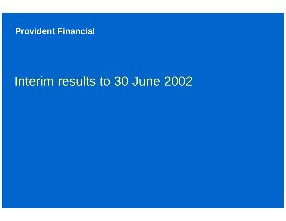

# Interim results to 30 June 2002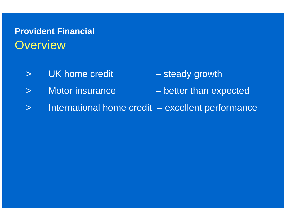## **Provident Financial Overview**

- >UK home credit – steady growth
	-
- $\geq$ Motor insurance – better than expected
- >International home credit – excellent performance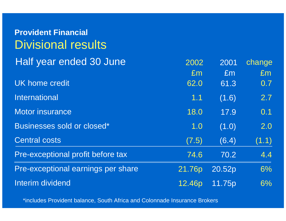| <b>Provident Financial</b><br><b>Divisional results</b> |        |        |        |
|---------------------------------------------------------|--------|--------|--------|
| Half year ended 30 June                                 | 2002   | 2001   | change |
|                                                         | Em     | Em     | Em     |
| <b>UK home credit</b>                                   | 62.0   | 61.3   | 0.7    |
| <b>International</b>                                    | 1.1    | (1.6)  | 2.7    |
| <b>Motor insurance</b>                                  | 18.0   | 17.9   | 0.1    |
| Businesses sold or closed*                              | 1.0    | (1.0)  | 2.0    |
| <b>Central costs</b>                                    | (7.5)  | (6.4)  | (1.1)  |
| Pre-exceptional profit before tax                       | 74.6   | 70.2   | 4.4    |
| Pre-exceptional earnings per share                      | 21.76p | 20.52p | 6%     |
| <b>Interim dividend</b>                                 | 12.46p | 11.75p | 6%     |

\*includes Provident balance, South Africa and Colonnade Insurance Brokers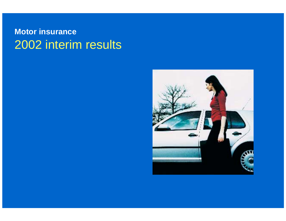#### **Motor insurance** 2002 interim results

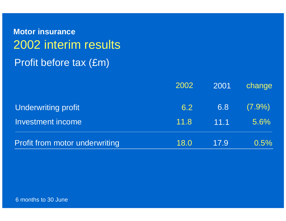**Motor insurance** 2002 interim results Profit before tax (£m)

|                                       | 2002 | 2001 | change    |
|---------------------------------------|------|------|-----------|
| <b>Underwriting profit</b>            | 6.2  | 6.8  | $(7.9\%)$ |
| <b>Investment income</b>              | 11.8 | 11.1 | $5.6\%$   |
| <b>Profit from motor underwriting</b> | 18.0 | 17.9 | 0.5%      |

6 months to 30 June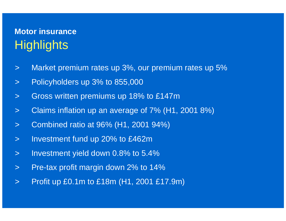## **Motor insuranceHighlights**

- $\geq$ Market premium rates up 3%, our premium rates up 5%
- $\geq$ Policyholders up 3% to 855,000
- $\geq$ Gross written premiums up 18% to £147m
- $\geq$ Claims inflation up an average of 7% (H1, 2001 8%)
- $\geq$ Combined ratio at 96% (H1, 2001 94%)
- $\geq$ Investment fund up 20% to £462m
- $\geq$ Investment yield down 0.8% to 5.4%
- $\geq$ Pre-tax profit margin down 2% to 14%
- $\geq$ Profit up £0.1m to £18m (H1, 2001 £17.9m)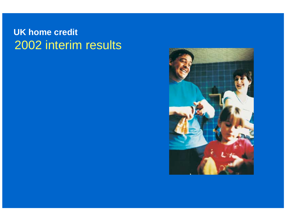### **UK home credit** 2002 interim results

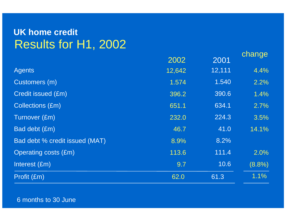#### **UK home credit** Results for H1, 2002

|                                |        |        | change    |
|--------------------------------|--------|--------|-----------|
|                                | 2002   | 2001   |           |
| <b>Agents</b>                  | 12,642 | 12,111 | 4.4%      |
| Customers (m)                  | 1.574  | 1.540  | 2.2%      |
| <b>Credit issued (£m)</b>      | 396.2  | 390.6  | 1.4%      |
| <b>Collections (£m)</b>        | 651.1  | 634.1  | 2.7%      |
| Turnover (£m)                  | 232.0  | 224.3  | 3.5%      |
| Bad debt (£m)                  | 46.7   | 41.0   | 14.1%     |
| Bad debt % credit issued (MAT) | 8.9%   | 8.2%   |           |
| <b>Operating costs (£m)</b>    | 113.6  | 111.4  | 2.0%      |
| Interest (£m)                  | 9.7    | 10.6   | $(8.8\%)$ |
| Profit (£m)                    | 62.0   | 61.3   | 1.1%      |

6 months to 30 June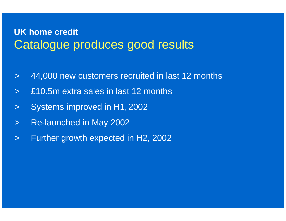#### **UK home credit** Catalogue produces good results

- $\geq$ 44,000 new customers recruited in last 12 months
- $\geq$ £10.5m extra sales in last 12 months
- $\geq$ Systems improved in H1, 2002
- >Re-launched in May 2002
- >Further growth expected in H2, 2002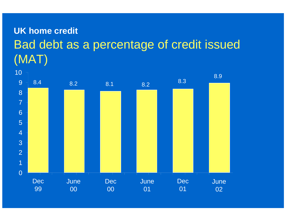# **UK home credit** Bad debt as a percentage of credit issued (MAT)

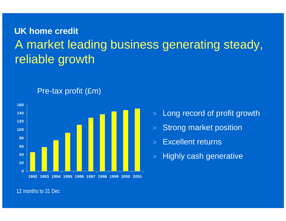# **UK home credit** A market leading business generating steady, reliable growth



#### Pre-tax profit (£m)

- $>$ Long record of profit growth
- $\geq$ Strong market position
- $>$ Excellent returns
- $\geq$ Highly cash generative

12 months to 31 Dec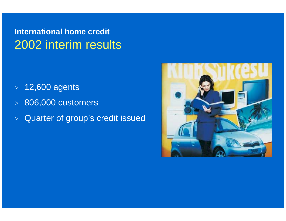## **International home credit** 2002 interim results

- $>\;$  12,600 agents
- $\mathbb{R}^2$ 806,000 customers
- $\geq$ Quarter of group's credit issued

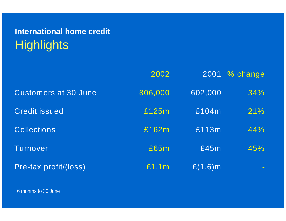# **International home credit Highlights**

|                             | 2002    | 2001       | % change |
|-----------------------------|---------|------------|----------|
| <b>Customers at 30 June</b> | 806,000 | 602,000    | 34%      |
| <b>Credit issued</b>        | £125m   | £104m      | 21%      |
| <b>Collections</b>          | £162m   | £113m      | 44%      |
| Turnover                    | £65m    | £45m       | 45%      |
| Pre-tax profit/(loss)       | £1.1m   | $£(1.6)$ m |          |

6 months to 30 June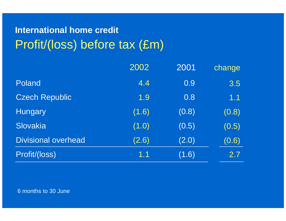# **International home credit** Profit/(loss) before tax (£m)

|                            | 2002  | 2001  | change |
|----------------------------|-------|-------|--------|
| Poland                     | 4.4   | 0.9   | 3.5    |
| <b>Czech Republic</b>      | 1.9   | 0.8   | 1.1    |
| <b>Hungary</b>             | (1.6) | (0.8) | (0.8)  |
| Slovakia                   | (1.0) | (0.5) | (0.5)  |
| <b>Divisional overhead</b> | (2.6) | (2.0) | (0.6)  |
| Profit/(loss)              | 1.1   | (1.6) | 2.7    |

6 months to 30 June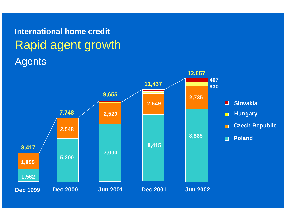# Agents **International home credit** Rapid agent growth

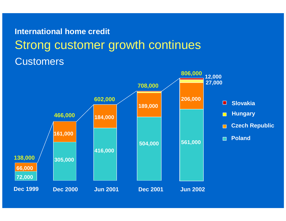# **Customers International home credit**Strong customer growth continues

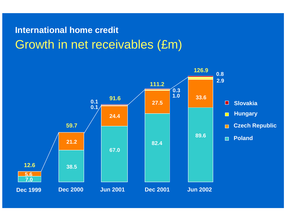# **International home credit** Growth in net receivables (£m)

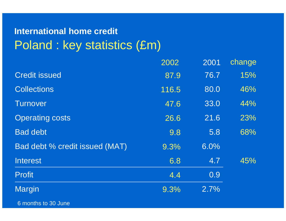## **International home credit** Poland : key statistics (£m)

|                                | 2002             | 2001 | change |
|--------------------------------|------------------|------|--------|
| <b>Credit issued</b>           | 87.9             | 76.7 | 15%    |
| <b>Collections</b>             | 116.5            | 80.0 | 46%    |
| <b>Turnover</b>                | 47.6             | 33.0 | 44%    |
| <b>Operating costs</b>         | 26.6             | 21.6 | 23%    |
| <b>Bad debt</b>                | $\overline{9.8}$ | 5.8  | 68%    |
| Bad debt % credit issued (MAT) | 9.3%             | 6.0% |        |
| <b>Interest</b>                | 6.8              | 4.7  | 45%    |
| <b>Profit</b>                  | 4.4              | 0.9  |        |
| Margin                         | 9.3%             | 2.7% |        |

6 months to 30 June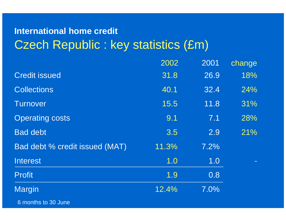## **International home credit** Czech Republic : key statistics (£m)

|                                | 2002  | 2001 | change |
|--------------------------------|-------|------|--------|
| <b>Credit issued</b>           | 31.8  | 26.9 | 18%    |
| <b>Collections</b>             | 40.1  | 32.4 | 24%    |
| <b>Turnover</b>                | 15.5  | 11.8 | 31%    |
| <b>Operating costs</b>         | 9.1   | 7.1  | 28%    |
| <b>Bad debt</b>                | 3.5   | 2.9  | 21%    |
| Bad debt % credit issued (MAT) | 11.3% | 7.2% |        |
| <b>Interest</b>                | 1.0   | 1.0  |        |
| <b>Profit</b>                  | 1.9   | 0.8  |        |
| Margin                         | 12.4% | 7.0% |        |

6 months to 30 June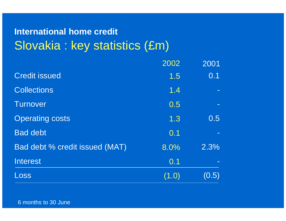## **International home credit** Slovakia : key statistics (£m)

|                                | 2002  | 2001  |
|--------------------------------|-------|-------|
| <b>Credit issued</b>           | 1.5   | 0.1   |
| <b>Collections</b>             | 1.4   |       |
| <b>Turnover</b>                | 0.5   |       |
| <b>Operating costs</b>         | 1.3   | 0.5   |
| <b>Bad debt</b>                | 0.1   |       |
| Bad debt % credit issued (MAT) | 8.0%  | 2.3%  |
| <b>Interest</b>                | 0.1   |       |
| Loss                           | (1.0) | (0.5) |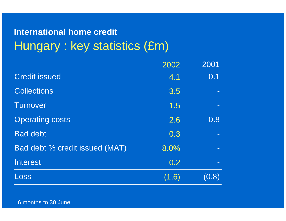## **International home credit** Hungary : key statistics (£m)

|                                | 2002  | 2001                     |
|--------------------------------|-------|--------------------------|
| <b>Credit issued</b>           | 4.1   | 0.1                      |
| <b>Collections</b>             | 3.5   |                          |
| <b>Turnover</b>                | 1.5   |                          |
| <b>Operating costs</b>         | 2.6   | 0.8                      |
| <b>Bad debt</b>                | 0.3   |                          |
| Bad debt % credit issued (MAT) | 8.0%  |                          |
| <b>Interest</b>                | 0.2   | $\overline{\phantom{m}}$ |
| Loss                           | (1.6) | (0.8)                    |

6 months to 30 June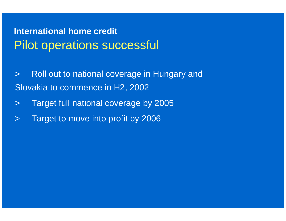## **International home credit** Pilot operations successful

 $\geq$  Roll out to national coverage in Hungary and Slovakia to commence in H2, 2002

- $\geq$ Target full national coverage by 2005
- $\geq$ Target to move into profit by 2006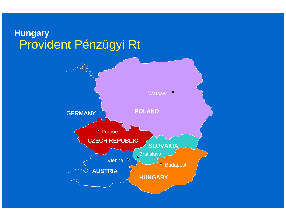#### Provident Pénzügyi Rt **Hungary**

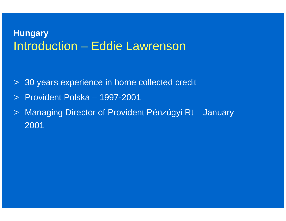#### Introduction – Eddie Lawrenson **Hungary**

- > 30 years experience in home collected credit
- > Provident Polska 1997-2001
- $\geq$  Managing Director of Provident Pénzügyi Rt – January 2001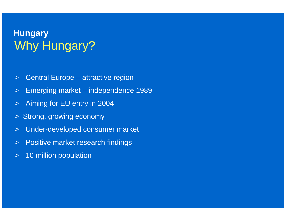## Why Hungary? **Hungary**

- $\geq$ Central Europe – attractive region
- $\geq$ Emerging market – independence 1989
- $\geq$ Aiming for EU entry in 2004
- $>$ Strong, growing economy
- $\geq$ Under-developed consumer market
- $\geq$ Positive market research findings
- $\geq$ 10 million population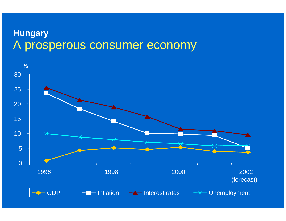#### A prosperous consumer economy **Hungary**

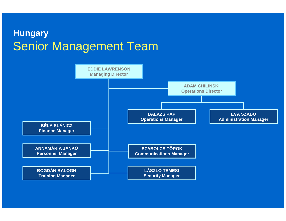#### Senior Management Team **Hungary**

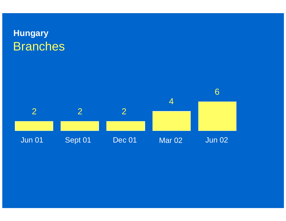## Branches **Hungary**

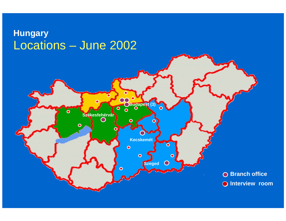#### Locations – June 2002 **Hungary**

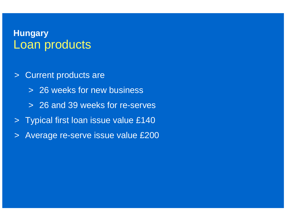#### Loan products **Hungary**

- $\geq$  Current products are
	- > 26 weeks for new business
	- > 26 and 39 weeks for re-serves
- > Typical first loan issue value £140
- $\geq$ Average re-serve issue value £200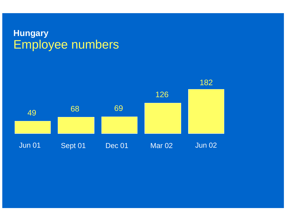#### Employee numbers **Hungary**

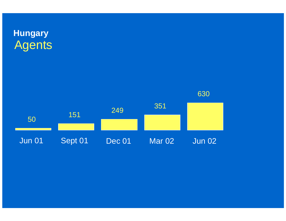

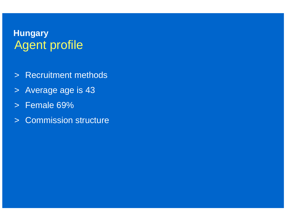#### Agent profile **Hungary**

- > Recruitment methods
- > Average age is 43
- >Female 69%
- > Commission structure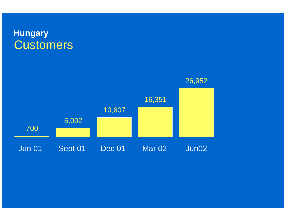#### **Customers Hungary**

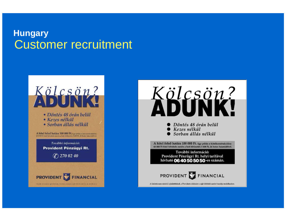#### Customer recruitment **Hungary**





- $\blacktriangleright$  Döntés 48 órán belül
- ) Kezes nélkül
- Sorban állás nélkül

A hitel felső határa 100 000 Ft. Egy példa a hitelkonstrukcióra: 60 000 Ft hitel felvétele esetén a heti törlesztés 3 408 Ft. 26 hetes futamidővel.

További információ: Provident Pénzügyi Rt. helyi tarifával hívható 06 40 50 50 50-es számán.



A birdetés nem minősül ajánlattételnek, a Provident a kölcsönt a saját feltételei szerint bocsátja rendelkezésre.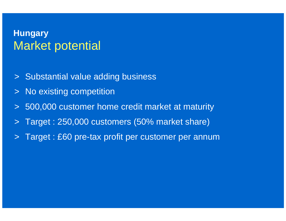#### Market potential **Hungary**

- > Substantial value adding business
- $\geq$ No existing competition
- $\geq$ 500,000 customer home credit market at maturity
- $\geq$ Target : 250,000 customers (50% market share)
- $\geq$ Target : £60 pre-tax profit per customer per annum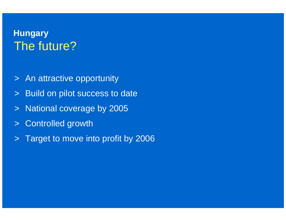### The future?**Hungary**

- > An attractive opportunity
- $\geq$ Build on pilot success to date
- $\geq$ National coverage by 2005
- $\geq$ Controlled growth
- $>$ Target to move into profit by 2006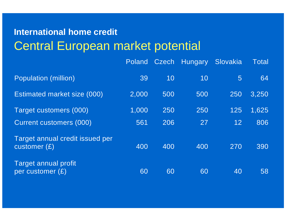## **International home credit** Central European market potential

|                                                   | Poland |     | Czech Hungary | Slovakia        | Total |
|---------------------------------------------------|--------|-----|---------------|-----------------|-------|
| <b>Population (million)</b>                       | 39     | 10  | 10            | $5\overline{)}$ | 64    |
| Estimated market size (000)                       | 2,000  | 500 | 500           | 250             | 3,250 |
| Target customers (000)                            | 1,000  | 250 | 250           | 125             | 1,625 |
| <b>Current customers (000)</b>                    | 561    | 206 | 27            | 12 <sub>2</sub> | 806   |
| Target annual credit issued per<br>customer $(E)$ | 400    | 400 | 400           | 270             | 390   |
| Target annual profit<br>per customer $(E)$        | 60     | 60  | 60            | 40              | 58    |